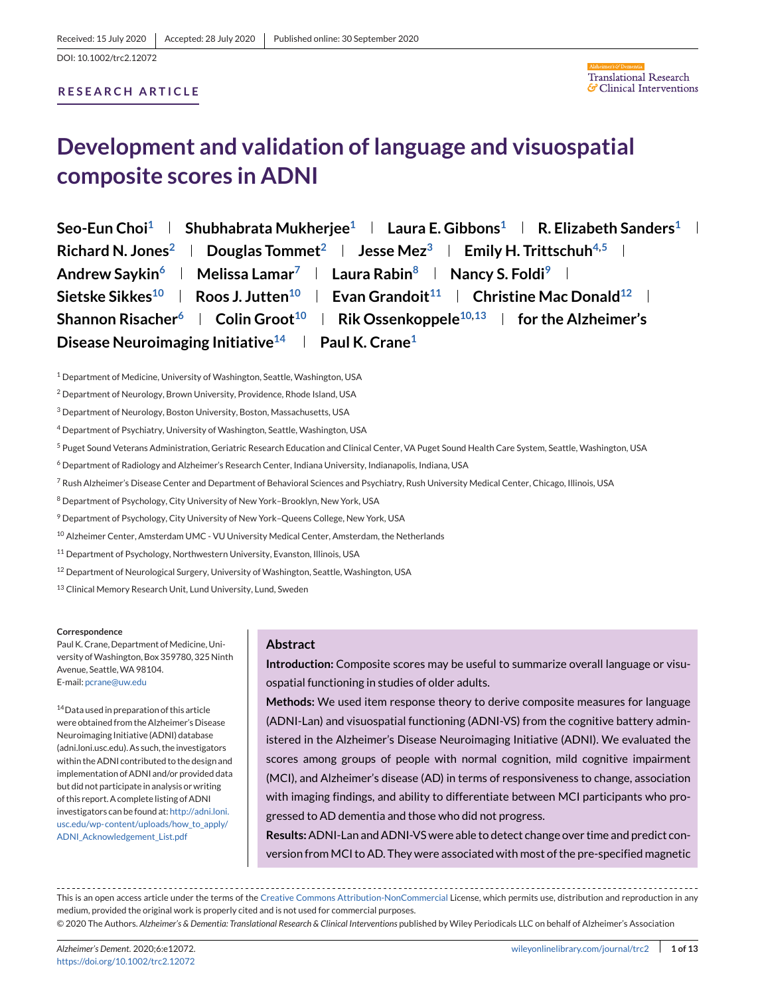## **RESEARCH ARTICLE**



# **Development and validation of language and visuospatial composite scores in ADNI**

| Seo-Eun Choi <sup>1</sup>   Shubhabrata Mukherjee <sup>1</sup>   Laura E. Gibbons <sup>1</sup>   R. Elizabeth Sanders <sup>1</sup> |
|------------------------------------------------------------------------------------------------------------------------------------|
| Richard N. Jones <sup>2</sup>   Douglas Tommet <sup>2</sup>   Jesse Mez <sup>3</sup>   Emily H. Trittschuh <sup>4,5</sup>          |
| Andrew Saykin <sup>6</sup>   Melissa Lamar <sup>7</sup>   Laura Rabin <sup>8</sup>   Nancy S. Foldi <sup>9</sup>                   |
| Sietske Sikkes <sup>10</sup>   Roos J. Jutten <sup>10</sup>   Evan Grandoit <sup>11</sup>   Christine Mac Donald <sup>12</sup>     |
| Shannon Risacher <sup>6</sup>   Colin Groot <sup>10</sup>   Rik Ossenkoppele <sup>10,13</sup>   for the Alzheimer's                |
| Disease Neuroimaging Initiative <sup>14</sup>   Paul K. Crane <sup>1</sup>                                                         |

<sup>1</sup> Department of Medicine, University of Washington, Seattle, Washington, USA

<sup>3</sup> Department of Neurology, Boston University, Boston, Massachusetts, USA

- <sup>4</sup> Department of Psychiatry, University of Washington, Seattle, Washington, USA
- <sup>5</sup> Puget Sound Veterans Administration, Geriatric Research Education and Clinical Center, VA Puget Sound Health Care System, Seattle, Washington, USA

<sup>6</sup> Department of Radiology and Alzheimer's Research Center, Indiana University, Indianapolis, Indiana, USA

- <sup>7</sup> Rush Alzheimer's Disease Center and Department of Behavioral Sciences and Psychiatry, Rush University Medical Center, Chicago, Illinois, USA
- <sup>8</sup> Department of Psychology, City University of New York–Brooklyn, New York, USA
- <sup>9</sup> Department of Psychology, City University of New York–Queens College, New York, USA
- <sup>10</sup> Alzheimer Center, Amsterdam UMC VU University Medical Center, Amsterdam, the Netherlands
- <sup>11</sup> Department of Psychology, Northwestern University, Evanston, Illinois, USA
- <sup>12</sup> Department of Neurological Surgery, University of Washington, Seattle, Washington, USA
- <sup>13</sup> Clinical Memory Research Unit, Lund University, Lund, Sweden

#### **Correspondence**

Paul K. Crane, Department of Medicine, University of Washington, Box 359780, 325 Ninth Avenue, Seattle, WA 98104. E-mail: [pcrane@uw.edu](mailto:pcrane@uw.edu)

14Data used in preparation of this article were obtained from the Alzheimer's Disease Neuroimaging Initiative (ADNI) database (adni.loni.usc.edu). As such, the investigators within the ADNI contributed to the design and implementation of ADNI and/or provided data but did not participate in analysis or writing of this report. A complete listing of ADNI investigators can be found at: [http://adni.loni.](http://adni.loni.usc.edu/wp-content/uploads/how_to_apply/ADNI_Acknowledgement_List.pdf) [usc.edu/wp-content/uploads/how\\_to\\_apply/](http://adni.loni.usc.edu/wp-content/uploads/how_to_apply/ADNI_Acknowledgement_List.pdf) [ADNI\\_Acknowledgement\\_List.pdf](http://adni.loni.usc.edu/wp-content/uploads/how_to_apply/ADNI_Acknowledgement_List.pdf)

## **Abstract**

**Introduction:** Composite scores may be useful to summarize overall language or visuospatial functioning in studies of older adults.

**Methods:** We used item response theory to derive composite measures for language (ADNI-Lan) and visuospatial functioning (ADNI-VS) from the cognitive battery administered in the Alzheimer's Disease Neuroimaging Initiative (ADNI). We evaluated the scores among groups of people with normal cognition, mild cognitive impairment (MCI), and Alzheimer's disease (AD) in terms of responsiveness to change, association with imaging findings, and ability to differentiate between MCI participants who progressed to AD dementia and those who did not progress.

**Results:**ADNI-Lan and ADNI-VS were able to detect change over time and predict conversion from MCI to AD. They were associated with most of the pre-specified magnetic

This is an open access article under the terms of the [Creative Commons Attribution-NonCommercial](http://creativecommons.org/licenses/by-nc/4.0/) License, which permits use, distribution and reproduction in any medium, provided the original work is properly cited and is not used for commercial purposes. © 2020 The Authors. *Alzheimer's & Dementia: Translational Research & Clinical Interventions* published by Wiley Periodicals LLC on behalf of Alzheimer's Association

<sup>2</sup> Department of Neurology, Brown University, Providence, Rhode Island, USA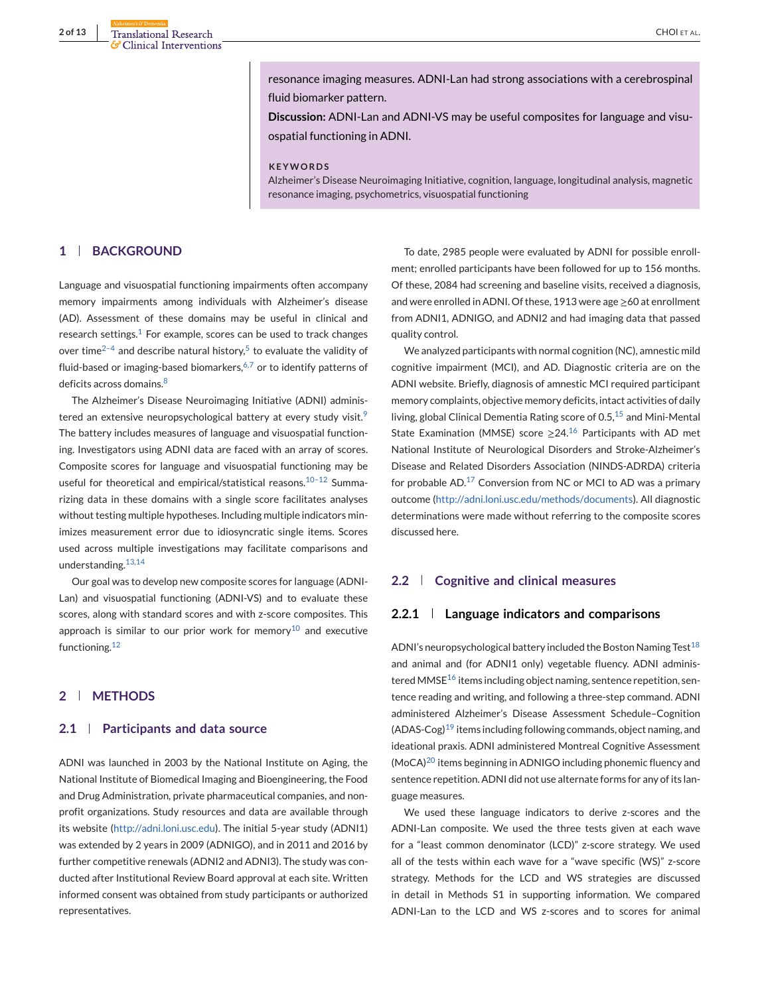resonance imaging measures. ADNI-Lan had strong associations with a cerebrospinal fluid biomarker pattern.

**Discussion:** ADNI-Lan and ADNI-VS may be useful composites for language and visuospatial functioning in ADNI.

#### **KEYWORDS**

Alzheimer's Disease Neuroimaging Initiative, cognition, language, longitudinal analysis, magnetic resonance imaging, psychometrics, visuospatial functioning

#### **1 BACKGROUND**

Language and visuospatial functioning impairments often accompany memory impairments among individuals with Alzheimer's disease (AD). Assessment of these domains may be useful in clinical and research settings.<sup>[1](#page-11-0)</sup> For example, scores can be used to track changes over time<sup>2-4</sup> and describe natural history,<sup>[5](#page-11-0)</sup> to evaluate the validity of fluid-based or imaging-based biomarkers, $6,7$  or to identify patterns of deficits across domains.<sup>[8](#page-11-0)</sup>

The Alzheimer's Disease Neuroimaging Initiative (ADNI) administered an extensive neuropsychological battery at every study visit. $9$ The battery includes measures of language and visuospatial functioning. Investigators using ADNI data are faced with an array of scores. Composite scores for language and visuospatial functioning may be useful for theoretical and empirical/statistical reasons.<sup>10-12</sup> Summarizing data in these domains with a single score facilitates analyses without testing multiple hypotheses. Including multiple indicators minimizes measurement error due to idiosyncratic single items. Scores used across multiple investigations may facilitate comparisons and understanding.[13,14](#page-11-0)

Our goal was to develop new composite scores for language (ADNI-Lan) and visuospatial functioning (ADNI-VS) and to evaluate these scores, along with standard scores and with z-score composites. This approach is similar to our prior work for memory<sup>[10](#page-11-0)</sup> and executive functioning.[12](#page-11-0)

## **2 METHODS**

#### **2.1 Participants and data source**

ADNI was launched in 2003 by the National Institute on Aging, the National Institute of Biomedical Imaging and Bioengineering, the Food and Drug Administration, private pharmaceutical companies, and nonprofit organizations. Study resources and data are available through its website [\(http://adni.loni.usc.edu\)](http://adni.loni.usc.edu). The initial 5-year study (ADNI1) was extended by 2 years in 2009 (ADNIGO), and in 2011 and 2016 by further competitive renewals (ADNI2 and ADNI3). The study was conducted after Institutional Review Board approval at each site. Written informed consent was obtained from study participants or authorized representatives.

To date, 2985 people were evaluated by ADNI for possible enrollment; enrolled participants have been followed for up to 156 months. Of these, 2084 had screening and baseline visits, received a diagnosis, and were enrolled in ADNI. Of these, 1913 were age ≥60 at enrollment from ADNI1, ADNIGO, and ADNI2 and had imaging data that passed quality control.

We analyzed participants with normal cognition (NC), amnestic mild cognitive impairment (MCI), and AD. Diagnostic criteria are on the ADNI website. Briefly, diagnosis of amnestic MCI required participant memory complaints, objective memory deficits, intact activities of daily living, global Clinical Dementia Rating score of  $0.5$ ,  $15$  and Mini-Mental State Examination (MMSE) score  $\geq$  24.<sup>[16](#page-11-0)</sup> Participants with AD met National Institute of Neurological Disorders and Stroke-Alzheimer's Disease and Related Disorders Association (NINDS-ADRDA) criteria for probable  $AD$ <sup>[17](#page-11-0)</sup> Conversion from NC or MCI to AD was a primary outcome [\(http://adni.loni.usc.edu/methods/documents\)](http://adni.loni.usc.edu/methods/documents). All diagnostic determinations were made without referring to the composite scores discussed here.

## **2.2 Cognitive and clinical measures**

#### **2.2.1 Language indicators and comparisons**

ADNI's neuropsychological battery included the Boston Naming Test<sup>[18](#page-11-0)</sup> and animal and (for ADNI1 only) vegetable fluency. ADNI adminis-tered MMSE<sup>[16](#page-11-0)</sup> items including object naming, sentence repetition, sentence reading and writing, and following a three-step command. ADNI administered Alzheimer's Disease Assessment Schedule–Cognition  $(ADAS-Cog)<sup>19</sup>$  $(ADAS-Cog)<sup>19</sup>$  $(ADAS-Cog)<sup>19</sup>$  items including following commands, object naming, and ideational praxis. ADNI administered Montreal Cognitive Assessment  $(MoCA)<sup>20</sup>$  $(MoCA)<sup>20</sup>$  $(MoCA)<sup>20</sup>$  items beginning in ADNIGO including phonemic fluency and sentence repetition. ADNI did not use alternate forms for any of its language measures.

We used these language indicators to derive z-scores and the ADNI-Lan composite. We used the three tests given at each wave for a "least common denominator (LCD)" z-score strategy. We used all of the tests within each wave for a "wave specific (WS)" z-score strategy. Methods for the LCD and WS strategies are discussed in detail in Methods S1 in supporting information. We compared ADNI-Lan to the LCD and WS z-scores and to scores for animal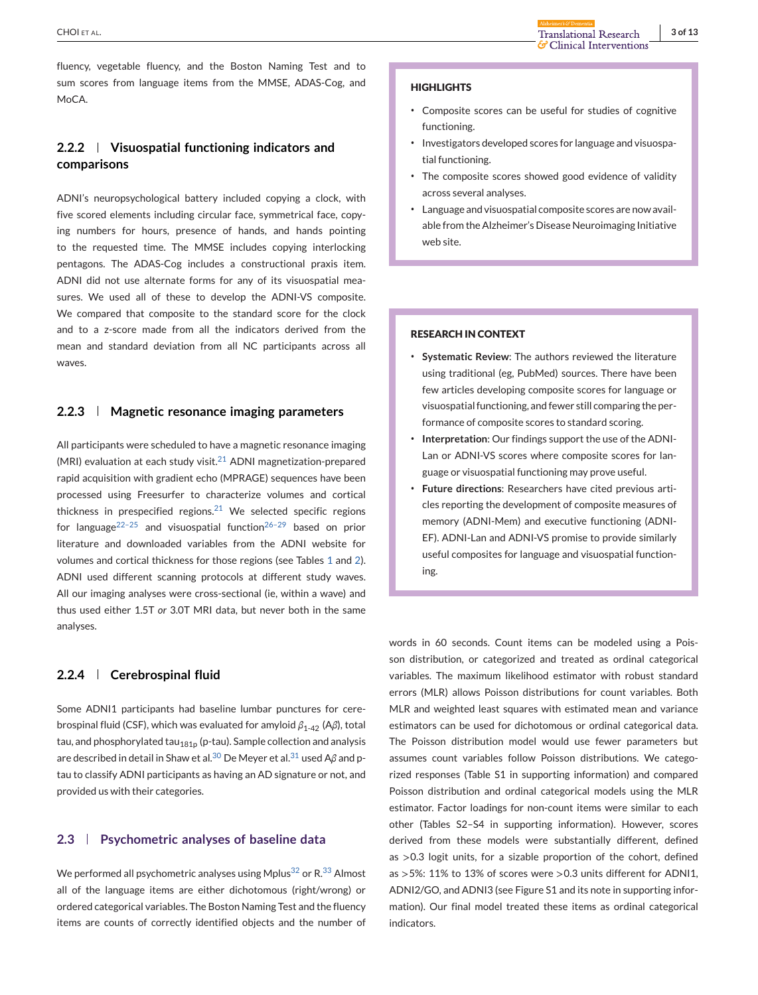fluency, vegetable fluency, and the Boston Naming Test and to sum scores from language items from the MMSE, ADAS-Cog, and Mo<sub>C</sub>A

# **2.2.2 Visuospatial functioning indicators and comparisons**

ADNI's neuropsychological battery included copying a clock, with five scored elements including circular face, symmetrical face, copying numbers for hours, presence of hands, and hands pointing to the requested time. The MMSE includes copying interlocking pentagons. The ADAS-Cog includes a constructional praxis item. ADNI did not use alternate forms for any of its visuospatial measures. We used all of these to develop the ADNI-VS composite. We compared that composite to the standard score for the clock and to a z-score made from all the indicators derived from the mean and standard deviation from all NC participants across all waves

## **2.2.3 Magnetic resonance imaging parameters**

All participants were scheduled to have a magnetic resonance imaging (MRI) evaluation at each study visit.<sup>[21](#page-11-0)</sup> ADNI magnetization-prepared rapid acquisition with gradient echo (MPRAGE) sequences have been processed using Freesurfer to characterize volumes and cortical thickness in prespecified regions.<sup>[21](#page-11-0)</sup> We selected specific regions for language<sup>[22–25](#page-11-0)</sup> and visuospatial function<sup>[26–29](#page-11-0)</sup> based on prior literature and downloaded variables from the ADNI website for volumes and cortical thickness for those regions (see Tables [1](#page-3-0) and [2\)](#page-4-0). ADNI used different scanning protocols at different study waves. All our imaging analyses were cross-sectional (ie, within a wave) and thus used either 1.5T *or* 3.0T MRI data, but never both in the same analyses.

# **2.2.4 Cerebrospinal fluid**

Some ADNI1 participants had baseline lumbar punctures for cerebrospinal fluid (CSF), which was evaluated for amyloid *β*1-42 (A*β*), total tau, and phosphorylated tau<sub>181p</sub> (p-tau). Sample collection and analysis are described in detail in Shaw et al.<sup>[30](#page-11-0)</sup> De Meyer et al.<sup>[31](#page-11-0)</sup> used Aβ and ptau to classify ADNI participants as having an AD signature or not, and provided us with their categories.

# **2.3 Psychometric analyses of baseline data**

We performed all psychometric analyses using Mplus<sup>[32](#page-11-0)</sup> or  $R^{33}$  $R^{33}$  $R^{33}$  Almost all of the language items are either dichotomous (right/wrong) or ordered categorical variables. The Boston Naming Test and the fluency items are counts of correctly identified objects and the number of

#### **HIGHLIGHTS**

- ∙ Composite scores can be useful for studies of cognitive functioning.
- ∙ Investigators developed scores for language and visuospatial functioning.
- ∙ The composite scores showed good evidence of validity across several analyses.
- ∙ Language and visuospatial composite scores are now available from the Alzheimer's Disease Neuroimaging Initiative web site.

#### **RESEARCH IN CONTEXT**

- ∙ **Systematic Review**: The authors reviewed the literature using traditional (eg, PubMed) sources. There have been few articles developing composite scores for language or visuospatial functioning, and fewer still comparing the performance of composite scores to standard scoring.
- ∙ **Interpretation**: Our findings support the use of the ADNI-Lan or ADNI-VS scores where composite scores for language or visuospatial functioning may prove useful.
- ∙ **Future directions**: Researchers have cited previous articles reporting the development of composite measures of memory (ADNI-Mem) and executive functioning (ADNI-EF). ADNI-Lan and ADNI-VS promise to provide similarly useful composites for language and visuospatial functioning.

words in 60 seconds. Count items can be modeled using a Poisson distribution, or categorized and treated as ordinal categorical variables. The maximum likelihood estimator with robust standard errors (MLR) allows Poisson distributions for count variables. Both MLR and weighted least squares with estimated mean and variance estimators can be used for dichotomous or ordinal categorical data. The Poisson distribution model would use fewer parameters but assumes count variables follow Poisson distributions. We categorized responses (Table S1 in supporting information) and compared Poisson distribution and ordinal categorical models using the MLR estimator. Factor loadings for non-count items were similar to each other (Tables S2–S4 in supporting information). However, scores derived from these models were substantially different, defined as >0.3 logit units, for a sizable proportion of the cohort, defined as >5%: 11% to 13% of scores were >0.3 units different for ADNI1, ADNI2/GO, and ADNI3 (see Figure S1 and its note in supporting information). Our final model treated these items as ordinal categorical indicators.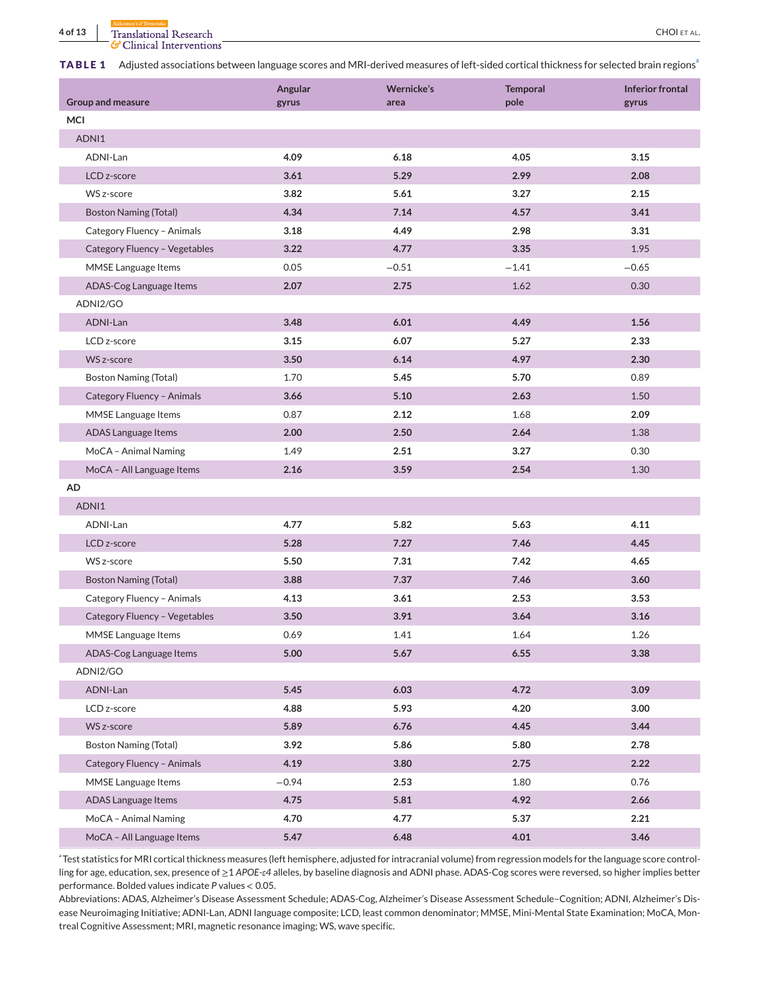<span id="page-3-0"></span>**4 of 13** Translational Research CHOI ET AL.

G Clinical Interventions

**TABLE 1** Adjusted associations between language scores and MRI-derived measures of left-sided cortical thickness for selected brain regions<sup>3</sup>

| <b>Group and measure</b>      | Angular<br>gyrus | Wernicke's<br>area | <b>Temporal</b><br>pole | <b>Inferior frontal</b><br>gyrus |
|-------------------------------|------------------|--------------------|-------------------------|----------------------------------|
| <b>MCI</b>                    |                  |                    |                         |                                  |
| ADNI1                         |                  |                    |                         |                                  |
| ADNI-Lan                      | 4.09             | 6.18               | 4.05                    | 3.15                             |
| LCD z-score                   | 3.61             | 5.29               | 2.99                    | 2.08                             |
| WS z-score                    | 3.82             | 5.61               | 3.27                    | 2.15                             |
| <b>Boston Naming (Total)</b>  | 4.34             | 7.14               | 4.57                    | 3.41                             |
|                               | 3.18             | 4.49               | 2.98                    | 3.31                             |
| Category Fluency - Animals    |                  |                    |                         |                                  |
| Category Fluency - Vegetables | 3.22             | 4.77               | 3.35                    | 1.95                             |
| MMSE Language Items           | 0.05             | $-0.51$            | $-1.41$                 | $-0.65$                          |
| ADAS-Cog Language Items       | 2.07             | 2.75               | 1.62                    | 0.30                             |
| ADNI2/GO                      |                  |                    |                         |                                  |
| ADNI-Lan                      | 3.48             | 6.01               | 4.49                    | 1.56                             |
| LCD z-score                   | 3.15             | 6.07               | 5.27                    | 2.33                             |
| WS z-score                    | 3.50             | 6.14               | 4.97                    | 2.30                             |
| <b>Boston Naming (Total)</b>  | 1.70             | 5.45               | 5.70                    | 0.89                             |
| Category Fluency - Animals    | 3.66             | 5.10               | 2.63                    | 1.50                             |
| MMSE Language Items           | 0.87             | 2.12               | 1.68                    | 2.09                             |
| ADAS Language Items           | 2.00             | 2.50               | 2.64                    | 1.38                             |
| MoCA - Animal Naming          | 1.49             | 2.51               | 3.27                    | 0.30                             |
| MoCA - All Language Items     | 2.16             | 3.59               | 2.54                    | 1.30                             |
| AD                            |                  |                    |                         |                                  |
| ADNI1                         |                  |                    |                         |                                  |
| ADNI-Lan                      | 4.77             | 5.82               | 5.63                    | 4.11                             |
| LCD z-score                   | 5.28             | 7.27               | 7.46                    | 4.45                             |
| WS z-score                    | 5.50             | 7.31               | 7.42                    | 4.65                             |
| <b>Boston Naming (Total)</b>  | 3.88             | 7.37               | 7.46                    | 3.60                             |
| Category Fluency - Animals    | 4.13             | 3.61               | 2.53                    | 3.53                             |
| Category Fluency - Vegetables | 3.50             | 3.91               | 3.64                    | 3.16                             |
| MMSE Language Items           | 0.69             | 1.41               | 1.64                    | 1.26                             |
| ADAS-Cog Language Items       | 5.00             | 5.67               | 6.55                    | 3.38                             |
| ADNI2/GO                      |                  |                    |                         |                                  |
| ADNI-Lan                      | 5.45             | 6.03               | 4.72                    | 3.09                             |
| LCD z-score                   | 4.88             | 5.93               | 4.20                    | 3.00                             |
| WS z-score                    | 5.89             | 6.76               | 4.45                    | 3.44                             |
| <b>Boston Naming (Total)</b>  | 3.92             | 5.86               | 5.80                    | 2.78                             |
| Category Fluency - Animals    | 4.19             | 3.80               | 2.75                    | 2.22                             |
| MMSE Language Items           | $-0.94$          | 2.53               | 1.80                    | 0.76                             |
| ADAS Language Items           | 4.75             | 5.81               | 4.92                    | 2.66                             |
| MoCA - Animal Naming          | 4.70             | 4.77               | 5.37                    | 2.21                             |
| MoCA - All Language Items     | 5.47             | 6.48               | 4.01                    | 3.46                             |

Test statistics for MRI cortical thickness measures (left hemisphere, adjusted for intracranial volume) from regression models for the language score controlling for age, education, sex, presence of ≥1 *APOE-ε4* alleles, by baseline diagnosis and ADNI phase. ADAS-Cog scores were reversed, so higher implies better performance. Bolded values indicate *P* values < 0.05.

Abbreviations: ADAS, Alzheimer's Disease Assessment Schedule; ADAS-Cog, Alzheimer's Disease Assessment Schedule–Cognition; ADNI, Alzheimer's Disease Neuroimaging Initiative; ADNI-Lan, ADNI language composite; LCD, least common denominator; MMSE, Mini-Mental State Examination; MoCA, Montreal Cognitive Assessment; MRI, magnetic resonance imaging; WS, wave specific.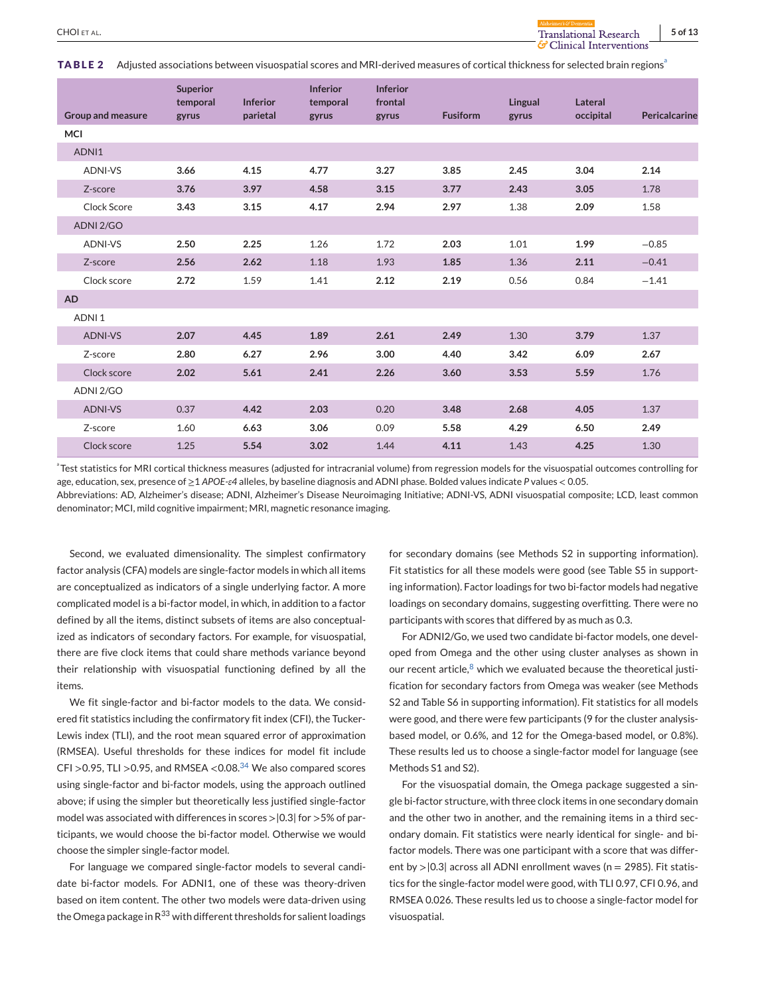<span id="page-4-0"></span>**TABLE 2** Adjusted associations between visuospatial scores and MRI-derived measures of cortical thickness for selected brain regions<sup>3</sup>

| <b>Group and measure</b> | Superior<br>temporal<br>gyrus | <b>Inferior</b><br>parietal | <b>Inferior</b><br>temporal<br>gyrus | <b>Inferior</b><br>frontal<br>gyrus | <b>Fusiform</b> | Lingual<br>gyrus | Lateral<br>occipital | Pericalcarine |
|--------------------------|-------------------------------|-----------------------------|--------------------------------------|-------------------------------------|-----------------|------------------|----------------------|---------------|
| MCI                      |                               |                             |                                      |                                     |                 |                  |                      |               |
| ADNI1                    |                               |                             |                                      |                                     |                 |                  |                      |               |
| <b>ADNI-VS</b>           | 3.66                          | 4.15                        | 4.77                                 | 3.27                                | 3.85            | 2.45             | 3.04                 | 2.14          |
| Z-score                  | 3.76                          | 3.97                        | 4.58                                 | 3.15                                | 3.77            | 2.43             | 3.05                 | 1.78          |
| Clock Score              | 3.43                          | 3.15                        | 4.17                                 | 2.94                                | 2.97            | 1.38             | 2.09                 | 1.58          |
| ADNI 2/GO                |                               |                             |                                      |                                     |                 |                  |                      |               |
| <b>ADNI-VS</b>           | 2.50                          | 2.25                        | 1.26                                 | 1.72                                | 2.03            | 1.01             | 1.99                 | $-0.85$       |
| Z-score                  | 2.56                          | 2.62                        | 1.18                                 | 1.93                                | 1.85            | 1.36             | 2.11                 | $-0.41$       |
| Clock score              | 2.72                          | 1.59                        | 1.41                                 | 2.12                                | 2.19            | 0.56             | 0.84                 | $-1.41$       |
| <b>AD</b>                |                               |                             |                                      |                                     |                 |                  |                      |               |
| ADNI <sub>1</sub>        |                               |                             |                                      |                                     |                 |                  |                      |               |
| <b>ADNI-VS</b>           | 2.07                          | 4.45                        | 1.89                                 | 2.61                                | 2.49            | 1.30             | 3.79                 | 1.37          |
| Z-score                  | 2.80                          | 6.27                        | 2.96                                 | 3.00                                | 4.40            | 3.42             | 6.09                 | 2.67          |
| Clock score              | 2.02                          | 5.61                        | 2.41                                 | 2.26                                | 3.60            | 3.53             | 5.59                 | 1.76          |
| ADNI 2/GO                |                               |                             |                                      |                                     |                 |                  |                      |               |
| <b>ADNI-VS</b>           | 0.37                          | 4.42                        | 2.03                                 | 0.20                                | 3.48            | 2.68             | 4.05                 | 1.37          |
| Z-score                  | 1.60                          | 6.63                        | 3.06                                 | 0.09                                | 5.58            | 4.29             | 6.50                 | 2.49          |
| Clock score              | 1.25                          | 5.54                        | 3.02                                 | 1.44                                | 4.11            | 1.43             | 4.25                 | 1.30          |

Test statistics for MRI cortical thickness measures (adjusted for intracranial volume) from regression models for the visuospatial outcomes controlling for age, education, sex, presence of ≥1 *APOE-ε4* alleles, by baseline diagnosis and ADNI phase. Bolded values indicate *P* values < 0.05.

Abbreviations: AD, Alzheimer's disease; ADNI, Alzheimer's Disease Neuroimaging Initiative; ADNI-VS, ADNI visuospatial composite; LCD, least common denominator; MCI, mild cognitive impairment; MRI, magnetic resonance imaging.

Second, we evaluated dimensionality. The simplest confirmatory factor analysis (CFA) models are single-factor models in which all items are conceptualized as indicators of a single underlying factor. A more complicated model is a bi-factor model, in which, in addition to a factor defined by all the items, distinct subsets of items are also conceptualized as indicators of secondary factors. For example, for visuospatial, there are five clock items that could share methods variance beyond their relationship with visuospatial functioning defined by all the items.

We fit single-factor and bi-factor models to the data. We considered fit statistics including the confirmatory fit index (CFI), the Tucker-Lewis index (TLI), and the root mean squared error of approximation (RMSEA). Useful thresholds for these indices for model fit include CFI > 0.95, TLI > 0.95, and RMSEA <  $0.08$ .<sup>[34](#page-11-0)</sup> We also compared scores using single-factor and bi-factor models, using the approach outlined above; if using the simpler but theoretically less justified single-factor model was associated with differences in scores >|0.3| for >5% of participants, we would choose the bi-factor model. Otherwise we would choose the simpler single-factor model.

For language we compared single-factor models to several candidate bi-factor models. For ADNI1, one of these was theory-driven based on item content. The other two models were data-driven using the Omega package in  $R^{33}$  with different thresholds for salient loadings for secondary domains (see Methods S2 in supporting information). Fit statistics for all these models were good (see Table S5 in supporting information). Factor loadings for two bi-factor models had negative loadings on secondary domains, suggesting overfitting. There were no participants with scores that differed by as much as 0.3.

G' Clinical Intervention

For ADNI2/Go, we used two candidate bi-factor models, one developed from Omega and the other using cluster analyses as shown in our recent article, $8$  which we evaluated because the theoretical justification for secondary factors from Omega was weaker (see Methods S2 and Table S6 in supporting information). Fit statistics for all models were good, and there were few participants (9 for the cluster analysisbased model, or 0.6%, and 12 for the Omega-based model, or 0.8%). These results led us to choose a single-factor model for language (see Methods S1 and S2).

For the visuospatial domain, the Omega package suggested a single bi-factor structure, with three clock items in one secondary domain and the other two in another, and the remaining items in a third secondary domain. Fit statistics were nearly identical for single- and bifactor models. There was one participant with a score that was different by >|0.3| across all ADNI enrollment waves (n = 2985). Fit statistics for the single-factor model were good, with TLI 0.97, CFI 0.96, and RMSEA 0.026. These results led us to choose a single-factor model for visuospatial.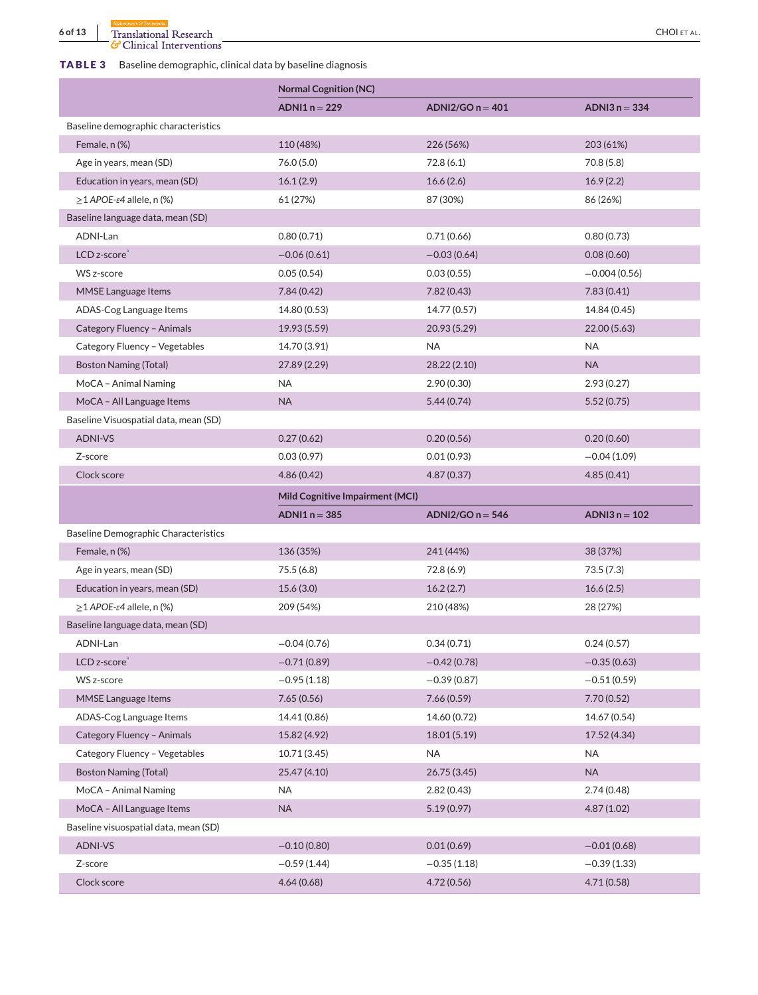<span id="page-5-0"></span>**6 of 13** Translational Research CHOI ετ AL.<br> **6** CHOI ET AL.

## **TABLE 3** Baseline demographic, clinical data by baseline diagnosis

|                                             | <b>Normal Cognition (NC)</b>    |                    |                 |  |
|---------------------------------------------|---------------------------------|--------------------|-----------------|--|
|                                             | $ADNI1n = 229$                  | ADNI2/GO $n = 401$ | ADNI $3n = 334$ |  |
| Baseline demographic characteristics        |                                 |                    |                 |  |
| Female, n (%)                               | 110 (48%)                       | 226 (56%)          | 203 (61%)       |  |
| Age in years, mean (SD)                     | 76.0 (5.0)                      | 72.8(6.1)          | 70.8 (5.8)      |  |
| Education in years, mean (SD)               | 16.1(2.9)                       | 16.6(2.6)          | 16.9(2.2)       |  |
| $\geq$ 1 APOE-ε4 allele, n (%)              | 61 (27%)                        | 87 (30%)           | 86 (26%)        |  |
| Baseline language data, mean (SD)           |                                 |                    |                 |  |
| ADNI-Lan                                    | 0.80(0.71)                      | 0.71(0.66)         | 0.80(0.73)      |  |
| LCD z-score                                 | $-0.06(0.61)$                   | $-0.03(0.64)$      | 0.08(0.60)      |  |
| WS z-score                                  | 0.05(0.54)                      | 0.03(0.55)         | $-0.004(0.56)$  |  |
| MMSE Language Items                         | 7.84(0.42)                      | 7.82(0.43)         | 7.83(0.41)      |  |
| ADAS-Cog Language Items                     | 14.80 (0.53)                    | 14.77 (0.57)       | 14.84 (0.45)    |  |
| Category Fluency - Animals                  | 19.93 (5.59)                    | 20.93 (5.29)       | 22.00(5.63)     |  |
| Category Fluency - Vegetables               | 14.70 (3.91)                    | NA                 | <b>NA</b>       |  |
| <b>Boston Naming (Total)</b>                | 27.89 (2.29)                    | 28.22 (2.10)       | <b>NA</b>       |  |
| MoCA - Animal Naming                        | <b>NA</b>                       | 2.90(0.30)         | 2.93(0.27)      |  |
| MoCA - All Language Items                   | <b>NA</b>                       | 5.44(0.74)         | 5.52(0.75)      |  |
| Baseline Visuospatial data, mean (SD)       |                                 |                    |                 |  |
| ADNI-VS                                     | 0.27(0.62)                      | 0.20(0.56)         | 0.20(0.60)      |  |
| Z-score                                     | 0.03(0.97)                      | 0.01(0.93)         | $-0.04(1.09)$   |  |
| Clock score                                 | 4.86(0.42)                      | 4.87(0.37)         | 4.85(0.41)      |  |
|                                             |                                 |                    |                 |  |
|                                             | Mild Cognitive Impairment (MCI) |                    |                 |  |
|                                             | $ADNI1n = 385$                  | ADNI2/GO $n = 546$ | $ADNI3n = 102$  |  |
| <b>Baseline Demographic Characteristics</b> |                                 |                    |                 |  |
| Female, n (%)                               | 136 (35%)                       | 241 (44%)          | 38 (37%)        |  |
| Age in years, mean (SD)                     | 75.5 (6.8)                      | 72.8 (6.9)         | 73.5(7.3)       |  |
| Education in years, mean (SD)               | 15.6(3.0)                       | 16.2(2.7)          | 16.6(2.5)       |  |
| $\geq$ 1 APOE-ε4 allele, n (%)              | 209 (54%)                       | 210 (48%)          | 28 (27%)        |  |
| Baseline language data, mean (SD)           |                                 |                    |                 |  |
| ADNI-Lan                                    | $-0.04(0.76)$                   | 0.34(0.71)         | 0.24(0.57)      |  |
| LCD z-score <sup>ª</sup>                    | $-0.71(0.89)$                   | $-0.42(0.78)$      | $-0.35(0.63)$   |  |
| WS z-score                                  | $-0.95(1.18)$                   | $-0.39(0.87)$      | $-0.51(0.59)$   |  |
| MMSE Language Items                         | 7.65(0.56)                      | 7.66(0.59)         | 7.70(0.52)      |  |
| ADAS-Cog Language Items                     | 14.41 (0.86)                    | 14.60 (0.72)       | 14.67 (0.54)    |  |
| Category Fluency - Animals                  | 15.82 (4.92)                    | 18.01 (5.19)       | 17.52 (4.34)    |  |
| Category Fluency - Vegetables               | 10.71 (3.45)                    | <b>NA</b>          | <b>NA</b>       |  |
| <b>Boston Naming (Total)</b>                | 25.47 (4.10)                    | 26.75 (3.45)       | <b>NA</b>       |  |
| MoCA - Animal Naming                        | <b>NA</b>                       | 2.82(0.43)         | 2.74(0.48)      |  |
| MoCA - All Language Items                   | <b>NA</b>                       | 5.19(0.97)         | 4.87(1.02)      |  |
| Baseline visuospatial data, mean (SD)       |                                 |                    |                 |  |
| ADNI-VS                                     | $-0.10(0.80)$                   | 0.01(0.69)         | $-0.01(0.68)$   |  |
| Z-score                                     | $-0.59(1.44)$                   | $-0.35(1.18)$      | $-0.39(1.33)$   |  |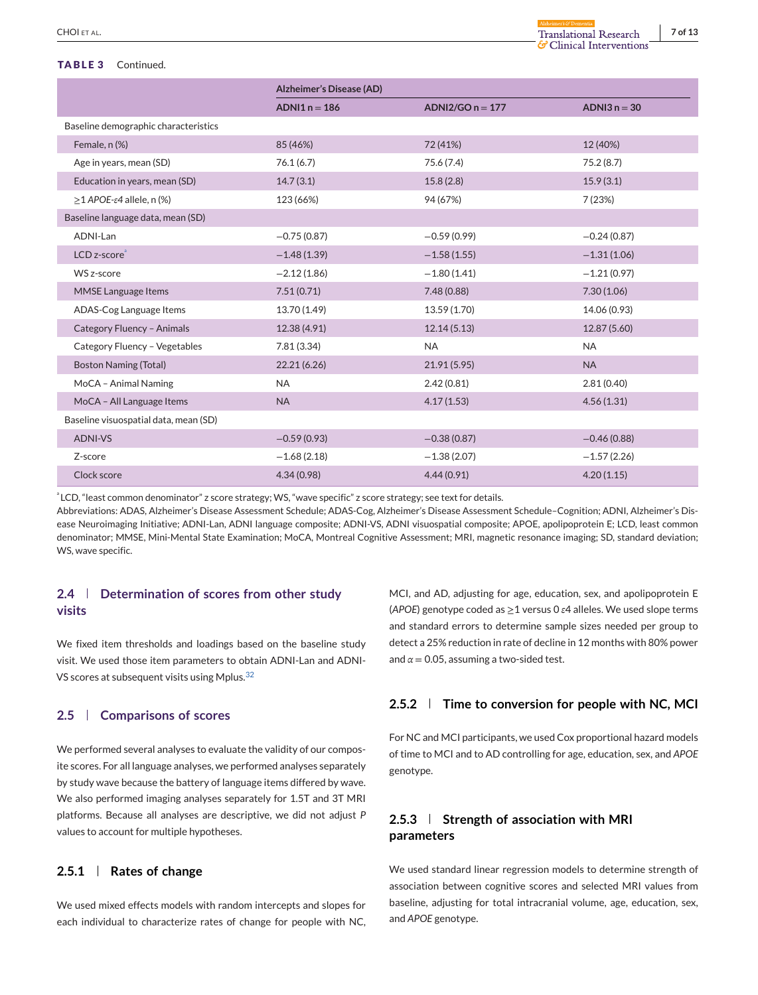#### <span id="page-6-0"></span>**TABLE 3** Continued.

|                                              | Alzheimer's Disease (AD) |                    |                |  |
|----------------------------------------------|--------------------------|--------------------|----------------|--|
|                                              | $ADNI1n = 186$           | ADNI2/GO $n = 177$ | ADNI3 $n = 30$ |  |
| Baseline demographic characteristics         |                          |                    |                |  |
| Female, n (%)                                | 85 (46%)                 | 72 (41%)           | 12 (40%)       |  |
| Age in years, mean (SD)                      | 76.1(6.7)                | 75.6 (7.4)         | 75.2(8.7)      |  |
| Education in years, mean (SD)                | 14.7(3.1)                | 15.8(2.8)          | 15.9(3.1)      |  |
| $\geq$ 1 APOE- $\varepsilon$ 4 allele, n (%) | 123 (66%)                | 94 (67%)           | 7(23%)         |  |
| Baseline language data, mean (SD)            |                          |                    |                |  |
| ADNI-Lan                                     | $-0.75(0.87)$            | $-0.59(0.99)$      | $-0.24(0.87)$  |  |
| LCD z-score <sup>ª</sup>                     | $-1.48(1.39)$            | $-1.58(1.55)$      | $-1.31(1.06)$  |  |
| WS z-score                                   | $-2.12(1.86)$            | $-1.80(1.41)$      | $-1.21(0.97)$  |  |
| MMSE Language Items                          | 7.51(0.71)               | 7.48(0.88)         | 7.30(1.06)     |  |
| ADAS-Cog Language Items                      | 13.70 (1.49)             | 13.59 (1.70)       | 14.06 (0.93)   |  |
| Category Fluency - Animals                   | 12.38 (4.91)             | 12.14(5.13)        | 12.87 (5.60)   |  |
| Category Fluency - Vegetables                | 7.81(3.34)               | <b>NA</b>          | <b>NA</b>      |  |
| <b>Boston Naming (Total)</b>                 | 22.21 (6.26)             | 21.91 (5.95)       | <b>NA</b>      |  |
| MoCA - Animal Naming                         | <b>NA</b>                | 2.42(0.81)         | 2.81(0.40)     |  |
| MoCA - All Language Items                    | <b>NA</b>                | 4.17(1.53)         | 4.56(1.31)     |  |
| Baseline visuospatial data, mean (SD)        |                          |                    |                |  |
| <b>ADNI-VS</b>                               | $-0.59(0.93)$            | $-0.38(0.87)$      | $-0.46(0.88)$  |  |
| Z-score                                      | $-1.68(2.18)$            | $-1.38(2.07)$      | $-1.57(2.26)$  |  |
| Clock score                                  | 4.34(0.98)               | 4.44(0.91)         | 4.20(1.15)     |  |

a LCD, "least common denominator" z score strategy; WS, "wave specific" z score strategy; see text for details.

Abbreviations: ADAS, Alzheimer's Disease Assessment Schedule; ADAS-Cog, Alzheimer's Disease Assessment Schedule–Cognition; ADNI, Alzheimer's Disease Neuroimaging Initiative; ADNI-Lan, ADNI language composite; ADNI-VS, ADNI visuospatial composite; APOE, apolipoprotein E; LCD, least common denominator; MMSE, Mini-Mental State Examination; MoCA, Montreal Cognitive Assessment; MRI, magnetic resonance imaging; SD, standard deviation; WS, wave specific.

## **2.4 Determination of scores from other study visits**

We fixed item thresholds and loadings based on the baseline study visit. We used those item parameters to obtain ADNI-Lan and ADNI-VS scores at subsequent visits using Mplus.[32](#page-11-0)

### **2.5 Comparisons of scores**

We performed several analyses to evaluate the validity of our composite scores. For all language analyses, we performed analyses separately by study wave because the battery of language items differed by wave. We also performed imaging analyses separately for 1.5T and 3T MRI platforms. Because all analyses are descriptive, we did not adjust *P* values to account for multiple hypotheses.

## **2.5.1 Rates of change**

We used mixed effects models with random intercepts and slopes for each individual to characterize rates of change for people with NC, MCI, and AD, adjusting for age, education, sex, and apolipoprotein E (*APOE*) genotype coded as ≥1 versus 0 *ε*4 alleles. We used slope terms and standard errors to determine sample sizes needed per group to detect a 25% reduction in rate of decline in 12 months with 80% power and  $\alpha$  = 0.05, assuming a two-sided test.

## **2.5.2 Time to conversion for people with NC, MCI**

For NC and MCI participants, we used Cox proportional hazard models of time to MCI and to AD controlling for age, education, sex, and *APOE* genotype.

# **2.5.3 Strength of association with MRI parameters**

We used standard linear regression models to determine strength of association between cognitive scores and selected MRI values from baseline, adjusting for total intracranial volume, age, education, sex, and *APOE* genotype.

& Clinical Interventions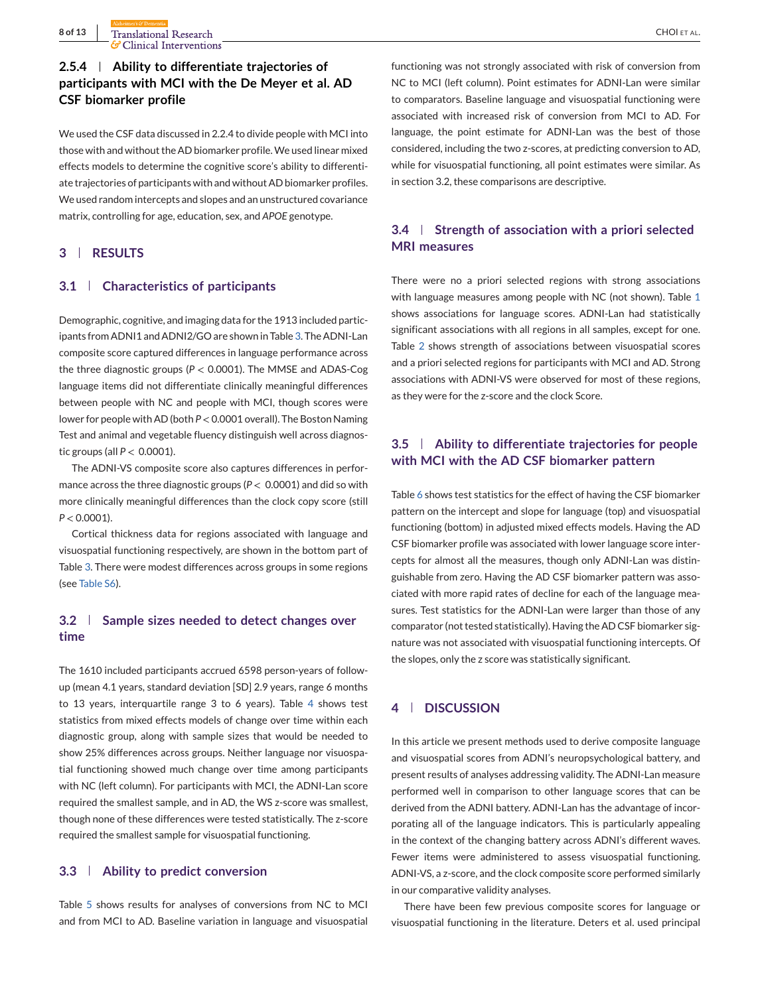# **2.5.4 Ability to differentiate trajectories of participants with MCI with the De Meyer et al. AD CSF biomarker profile**

We used the CSF data discussed in 2.2.4 to divide people with MCI into those with and without the AD biomarker profile.We used linear mixed effects models to determine the cognitive score's ability to differentiate trajectories of participants with and without AD biomarker profiles. We used random intercepts and slopes and an unstructured covariance matrix, controlling for age, education, sex, and *APOE* genotype.

## **3 RESULTS**

## **3.1 Characteristics of participants**

Demographic, cognitive, and imaging data for the 1913 included participants from ADNI1 and ADNI2/GO are shown in Table [3.](#page-5-0) The ADNI-Lan composite score captured differences in language performance across the three diagnostic groups (*P* < 0.0001). The MMSE and ADAS-Cog language items did not differentiate clinically meaningful differences between people with NC and people with MCI, though scores were lower for people with AD (both *P* < 0.0001 overall). The Boston Naming Test and animal and vegetable fluency distinguish well across diagnostic groups (all *P* < 0.0001).

The ADNI-VS composite score also captures differences in performance across the three diagnostic groups (*P* < 0.0001) and did so with more clinically meaningful differences than the clock copy score (still *P* < 0.0001).

Cortical thickness data for regions associated with language and visuospatial functioning respectively, are shown in the bottom part of Table [3.](#page-5-0) There were modest differences across groups in some regions (see [Table S6\)](#page-10-0).

## **3.2 Sample sizes needed to detect changes over time**

The 1610 included participants accrued 6598 person-years of followup (mean 4.1 years, standard deviation [SD] 2.9 years, range 6 months to 13 years, interquartile range 3 to 6 years). Table [4](#page-8-0) shows test statistics from mixed effects models of change over time within each diagnostic group, along with sample sizes that would be needed to show 25% differences across groups. Neither language nor visuospatial functioning showed much change over time among participants with NC (left column). For participants with MCI, the ADNI-Lan score required the smallest sample, and in AD, the WS z-score was smallest, though none of these differences were tested statistically. The z-score required the smallest sample for visuospatial functioning.

### **3.3 Ability to predict conversion**

Table [5](#page-9-0) shows results for analyses of conversions from NC to MCI and from MCI to AD. Baseline variation in language and visuospatial

functioning was not strongly associated with risk of conversion from NC to MCI (left column). Point estimates for ADNI-Lan were similar to comparators. Baseline language and visuospatial functioning were associated with increased risk of conversion from MCI to AD. For language, the point estimate for ADNI-Lan was the best of those considered, including the two z-scores, at predicting conversion to AD, while for visuospatial functioning, all point estimates were similar. As in section 3.2, these comparisons are descriptive.

# **3.4 Strength of association with a priori selected MRI measures**

There were no a priori selected regions with strong associations with language measures among people with NC (not shown). Table [1](#page-3-0) shows associations for language scores. ADNI-Lan had statistically significant associations with all regions in all samples, except for one. Table [2](#page-4-0) shows strength of associations between visuospatial scores and a priori selected regions for participants with MCI and AD. Strong associations with ADNI-VS were observed for most of these regions, as they were for the z-score and the clock Score.

# **3.5 Ability to differentiate trajectories for people with MCI with the AD CSF biomarker pattern**

Table [6](#page-10-0) shows test statistics for the effect of having the CSF biomarker pattern on the intercept and slope for language (top) and visuospatial functioning (bottom) in adjusted mixed effects models. Having the AD CSF biomarker profile was associated with lower language score intercepts for almost all the measures, though only ADNI-Lan was distinguishable from zero. Having the AD CSF biomarker pattern was associated with more rapid rates of decline for each of the language measures. Test statistics for the ADNI-Lan were larger than those of any comparator (not tested statistically). Having the AD CSF biomarker signature was not associated with visuospatial functioning intercepts. Of the slopes, only the z score was statistically significant.

## **4 DISCUSSION**

In this article we present methods used to derive composite language and visuospatial scores from ADNI's neuropsychological battery, and present results of analyses addressing validity. The ADNI-Lan measure performed well in comparison to other language scores that can be derived from the ADNI battery. ADNI-Lan has the advantage of incorporating all of the language indicators. This is particularly appealing in the context of the changing battery across ADNI's different waves. Fewer items were administered to assess visuospatial functioning. ADNI-VS, a z-score, and the clock composite score performed similarly in our comparative validity analyses.

There have been few previous composite scores for language or visuospatial functioning in the literature. Deters et al. used principal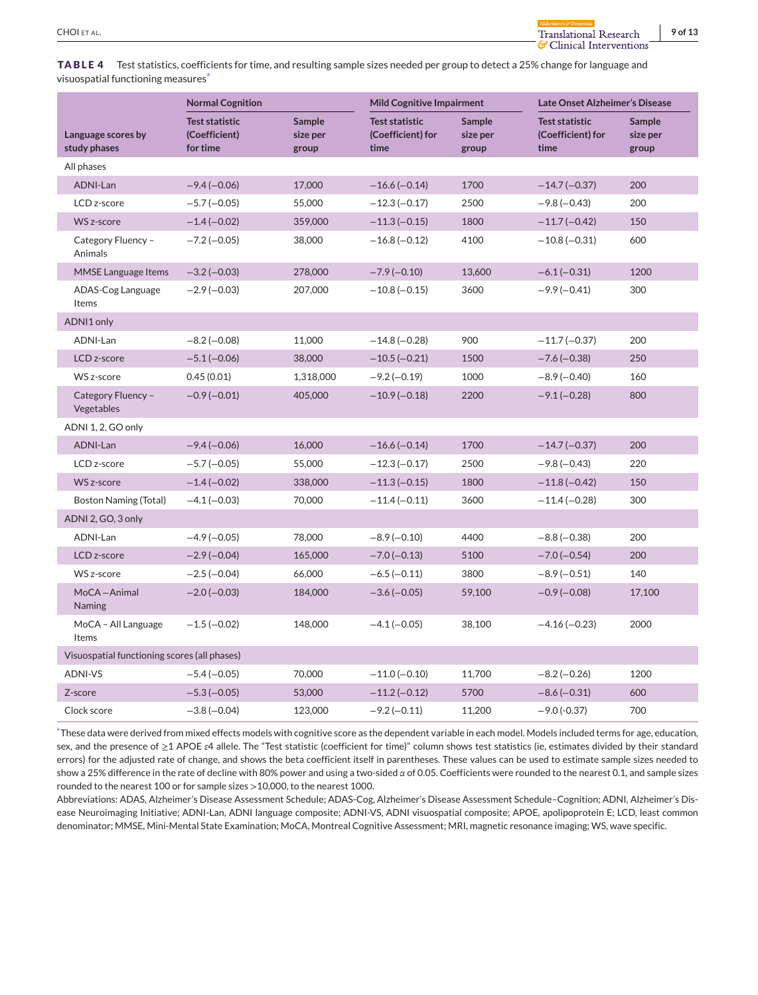<span id="page-8-0"></span>**TABLE 4** Test statistics, coefficients for time, and resulting sample sizes needed per group to detect a 25% change for language and visuospatial functioning measures

|                                              | <b>Normal Cognition</b>                            |                                    | <b>Mild Cognitive Impairment</b>                   |                                    | Late Onset Alzheimer's Disease                     |                                    |
|----------------------------------------------|----------------------------------------------------|------------------------------------|----------------------------------------------------|------------------------------------|----------------------------------------------------|------------------------------------|
| Language scores by<br>study phases           | <b>Test statistic</b><br>(Coefficient)<br>for time | <b>Sample</b><br>size per<br>group | <b>Test statistic</b><br>(Coefficient) for<br>time | <b>Sample</b><br>size per<br>group | <b>Test statistic</b><br>(Coefficient) for<br>time | <b>Sample</b><br>size per<br>group |
| All phases                                   |                                                    |                                    |                                                    |                                    |                                                    |                                    |
| ADNI-Lan                                     | $-9.4(-0.06)$                                      | 17,000                             | $-16.6(-0.14)$                                     | 1700                               | $-14.7(-0.37)$                                     | 200                                |
| LCD z-score                                  | $-5.7(-0.05)$                                      | 55,000                             | $-12.3(-0.17)$                                     | 2500                               | $-9.8(-0.43)$                                      | 200                                |
| WS z-score                                   | $-1.4(-0.02)$                                      | 359,000                            | $-11.3(-0.15)$                                     | 1800                               | $-11.7(-0.42)$                                     | 150                                |
| Category Fluency -<br>Animals                | $-7.2(-0.05)$                                      | 38,000                             | $-16.8(-0.12)$                                     | 4100                               | $-10.8(-0.31)$                                     | 600                                |
| <b>MMSE Language Items</b>                   | $-3.2(-0.03)$                                      | 278,000                            | $-7.9(-0.10)$                                      | 13,600                             | $-6.1(-0.31)$                                      | 1200                               |
| ADAS-Cog Language<br>Items                   | $-2.9(-0.03)$                                      | 207,000                            | $-10.8(-0.15)$                                     | 3600                               | $-9.9(-0.41)$                                      | 300                                |
| ADNI1 only                                   |                                                    |                                    |                                                    |                                    |                                                    |                                    |
| ADNI-Lan                                     | $-8.2(-0.08)$                                      | 11,000                             | $-14.8(-0.28)$                                     | 900                                | $-11.7(-0.37)$                                     | 200                                |
| LCD z-score                                  | $-5.1(-0.06)$                                      | 38,000                             | $-10.5(-0.21)$                                     | 1500                               | $-7.6(-0.38)$                                      | 250                                |
| WS z-score                                   | 0.45(0.01)                                         | 1.318.000                          | $-9.2(-0.19)$                                      | 1000                               | $-8.9(-0.40)$                                      | 160                                |
| Category Fluency -<br>Vegetables             | $-0.9(-0.01)$                                      | 405.000                            | $-10.9(-0.18)$                                     | 2200                               | $-9.1(-0.28)$                                      | 800                                |
| ADNI 1, 2, GO only                           |                                                    |                                    |                                                    |                                    |                                                    |                                    |
| ADNI-Lan                                     | $-9.4(-0.06)$                                      | 16,000                             | $-16.6(-0.14)$                                     | 1700                               | $-14.7(-0.37)$                                     | 200                                |
| LCD z-score                                  | $-5.7(-0.05)$                                      | 55,000                             | $-12.3(-0.17)$                                     | 2500                               | $-9.8(-0.43)$                                      | 220                                |
| WS z-score                                   | $-1.4(-0.02)$                                      | 338,000                            | $-11.3(-0.15)$                                     | 1800                               | $-11.8(-0.42)$                                     | 150                                |
| <b>Boston Naming (Total)</b>                 | $-4.1(-0.03)$                                      | 70,000                             | $-11.4(-0.11)$                                     | 3600                               | $-11.4(-0.28)$                                     | 300                                |
| ADNI 2, GO, 3 only                           |                                                    |                                    |                                                    |                                    |                                                    |                                    |
| ADNI-Lan                                     | $-4.9(-0.05)$                                      | 78,000                             | $-8.9(-0.10)$                                      | 4400                               | $-8.8(-0.38)$                                      | 200                                |
| LCD z-score                                  | $-2.9(-0.04)$                                      | 165,000                            | $-7.0$ ( $-0.13$ )                                 | 5100                               | $-7.0(-0.54)$                                      | 200                                |
| WS z-score                                   | $-2.5(-0.04)$                                      | 66,000                             | $-6.5(-0.11)$                                      | 3800                               | $-8.9(-0.51)$                                      | 140                                |
| MoCA-Animal<br>Naming                        | $-2.0(-0.03)$                                      | 184,000                            | $-3.6(-0.05)$                                      | 59,100                             | $-0.9(-0.08)$                                      | 17,100                             |
| MoCA - All Language<br>Items                 | $-1.5(-0.02)$                                      | 148,000                            | $-4.1(-0.05)$                                      | 38,100                             | $-4.16(-0.23)$                                     | 2000                               |
| Visuospatial functioning scores (all phases) |                                                    |                                    |                                                    |                                    |                                                    |                                    |
| <b>ADNI-VS</b>                               | $-5.4(-0.05)$                                      | 70,000                             | $-11.0(-0.10)$                                     | 11,700                             | $-8.2(-0.26)$                                      | 1200                               |
| Z-score                                      | $-5.3(-0.05)$                                      | 53,000                             | $-11.2(-0.12)$                                     | 5700                               | $-8.6(-0.31)$                                      | 600                                |
| Clock score                                  | $-3.8(-0.04)$                                      | 123,000                            | $-9.2(-0.11)$                                      | 11,200                             | $-9.0(-0.37)$                                      | 700                                |

a These data were derived from mixed effects models with cognitive score as the dependent variable in each model. Models included terms for age, education, sex, and the presence of ≥1 APOE *ε*4 allele. The "Test statistic (coefficient for time)" column shows test statistics (ie, estimates divided by their standard errors) for the adjusted rate of change, and shows the beta coefficient itself in parentheses. These values can be used to estimate sample sizes needed to show a 25% difference in the rate of decline with 80% power and using a two-sided *α* of 0.05. Coefficients were rounded to the nearest 0.1, and sample sizes rounded to the nearest 100 or for sample sizes >10,000, to the nearest 1000.

Abbreviations: ADAS, Alzheimer's Disease Assessment Schedule; ADAS-Cog, Alzheimer's Disease Assessment Schedule–Cognition; ADNI, Alzheimer's Disease Neuroimaging Initiative; ADNI-Lan, ADNI language composite; ADNI-VS, ADNI visuospatial composite; APOE, apolipoprotein E; LCD, least common denominator; MMSE, Mini-Mental State Examination; MoCA, Montreal Cognitive Assessment; MRI, magnetic resonance imaging; WS, wave specific.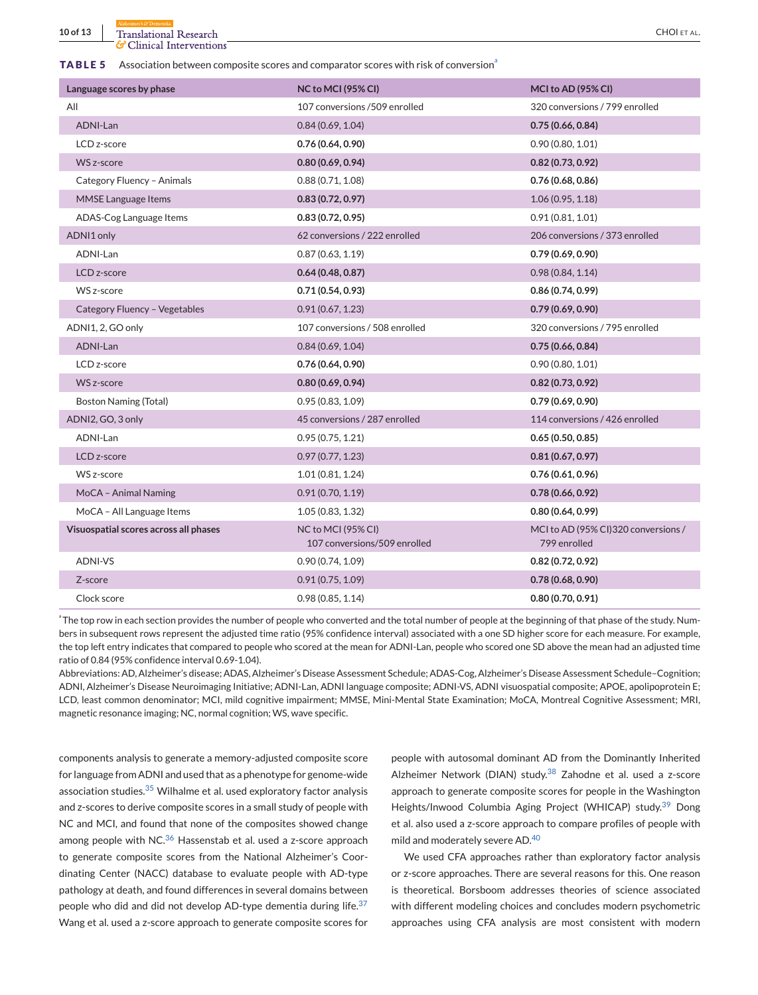<span id="page-9-0"></span>**10 of 13** Translational Research **CHOI** ET AL. *G* Clinical Interventions

**TABLE 5** Association between composite scores and comparator scores with risk of conversion

| Language scores by phase              | NC to MCI (95% CI)                                 | MCI to AD (95% CI)                                  |
|---------------------------------------|----------------------------------------------------|-----------------------------------------------------|
| All                                   | 107 conversions /509 enrolled                      | 320 conversions / 799 enrolled                      |
| ADNI-Lan                              | 0.84(0.69, 1.04)                                   | 0.75(0.66, 0.84)                                    |
| LCD z-score                           | 0.76(0.64, 0.90)                                   | 0.90(0.80, 1.01)                                    |
| WS z-score                            | 0.80(0.69, 0.94)                                   | 0.82(0.73, 0.92)                                    |
| Category Fluency - Animals            | 0.88(0.71, 1.08)                                   | 0.76(0.68, 0.86)                                    |
| MMSE Language Items                   | 0.83(0.72, 0.97)                                   | 1.06(0.95, 1.18)                                    |
| ADAS-Cog Language Items               | 0.83(0.72, 0.95)                                   | 0.91(0.81, 1.01)                                    |
| ADNI1 only                            | 62 conversions / 222 enrolled                      | 206 conversions / 373 enrolled                      |
| ADNI-Lan                              | 0.87(0.63, 1.19)                                   | 0.79(0.69, 0.90)                                    |
| LCD z-score                           | 0.64(0.48, 0.87)                                   | 0.98(0.84, 1.14)                                    |
| WS z-score                            | 0.71(0.54, 0.93)                                   | 0.86(0.74, 0.99)                                    |
| Category Fluency - Vegetables         | 0.91(0.67, 1.23)                                   | 0.79(0.69, 0.90)                                    |
| ADNI1, 2, GO only                     | 107 conversions / 508 enrolled                     | 320 conversions / 795 enrolled                      |
| ADNI-Lan                              | 0.84(0.69, 1.04)                                   | 0.75(0.66, 0.84)                                    |
| LCD z-score                           | 0.76(0.64, 0.90)                                   | 0.90(0.80, 1.01)                                    |
| WS z-score                            | 0.80(0.69, 0.94)                                   | 0.82(0.73, 0.92)                                    |
| <b>Boston Naming (Total)</b>          | 0.95(0.83, 1.09)                                   | 0.79(0.69, 0.90)                                    |
| ADNI2, GO, 3 only                     | 45 conversions / 287 enrolled                      | 114 conversions / 426 enrolled                      |
| ADNI-Lan                              | 0.95(0.75, 1.21)                                   | 0.65(0.50, 0.85)                                    |
| LCD z-score                           | 0.97(0.77, 1.23)                                   | 0.81(0.67, 0.97)                                    |
| WS z-score                            | 1.01(0.81, 1.24)                                   | 0.76(0.61, 0.96)                                    |
| MoCA - Animal Naming                  | 0.91(0.70, 1.19)                                   | 0.78(0.66, 0.92)                                    |
| MoCA - All Language Items             | 1.05(0.83, 1.32)                                   | 0.80(0.64, 0.99)                                    |
| Visuospatial scores across all phases | NC to MCI (95% CI)<br>107 conversions/509 enrolled | MCI to AD (95% CI)320 conversions /<br>799 enrolled |
| <b>ADNI-VS</b>                        | 0.90(0.74, 1.09)                                   | 0.82(0.72, 0.92)                                    |
| Z-score                               | 0.91(0.75, 1.09)                                   | 0.78(0.68, 0.90)                                    |
| Clock score                           | 0.98(0.85, 1.14)                                   | 0.80(0.70, 0.91)                                    |

<sup>a</sup> The top row in each section provides the number of people who converted and the total number of people at the beginning of that phase of the study. Numbers in subsequent rows represent the adjusted time ratio (95% confidence interval) associated with a one SD higher score for each measure. For example, the top left entry indicates that compared to people who scored at the mean for ADNI-Lan, people who scored one SD above the mean had an adjusted time ratio of 0.84 (95% confidence interval 0.69-1.04).

Abbreviations: AD, Alzheimer's disease; ADAS, Alzheimer's Disease Assessment Schedule; ADAS-Cog, Alzheimer's Disease Assessment Schedule–Cognition; ADNI, Alzheimer's Disease Neuroimaging Initiative; ADNI-Lan, ADNI language composite; ADNI-VS, ADNI visuospatial composite; APOE, apolipoprotein E; LCD, least common denominator; MCI, mild cognitive impairment; MMSE, Mini-Mental State Examination; MoCA, Montreal Cognitive Assessment; MRI, magnetic resonance imaging; NC, normal cognition; WS, wave specific.

components analysis to generate a memory-adjusted composite score for language from ADNI and used that as a phenotype for genome-wide association studies.<sup>[35](#page-11-0)</sup> Wilhalme et al. used exploratory factor analysis and z-scores to derive composite scores in a small study of people with NC and MCI, and found that none of the composites showed change among people with NC.<sup>[36](#page-11-0)</sup> Hassenstab et al. used a z-score approach to generate composite scores from the National Alzheimer's Coordinating Center (NACC) database to evaluate people with AD-type pathology at death, and found differences in several domains between people who did and did not develop AD-type dementia during life.<sup>[37](#page-11-0)</sup> Wang et al. used a z-score approach to generate composite scores for people with autosomal dominant AD from the Dominantly Inherited Alzheimer Network (DIAN) study.<sup>[38](#page-11-0)</sup> Zahodne et al. used a z-score approach to generate composite scores for people in the Washington Heights/Inwood Columbia Aging Project (WHICAP) study.<sup>[39](#page-12-0)</sup> Dong et al. also used a z-score approach to compare profiles of people with mild and moderately severe AD.[40](#page-12-0)

We used CFA approaches rather than exploratory factor analysis or z-score approaches. There are several reasons for this. One reason is theoretical. Borsboom addresses theories of science associated with different modeling choices and concludes modern psychometric approaches using CFA analysis are most consistent with modern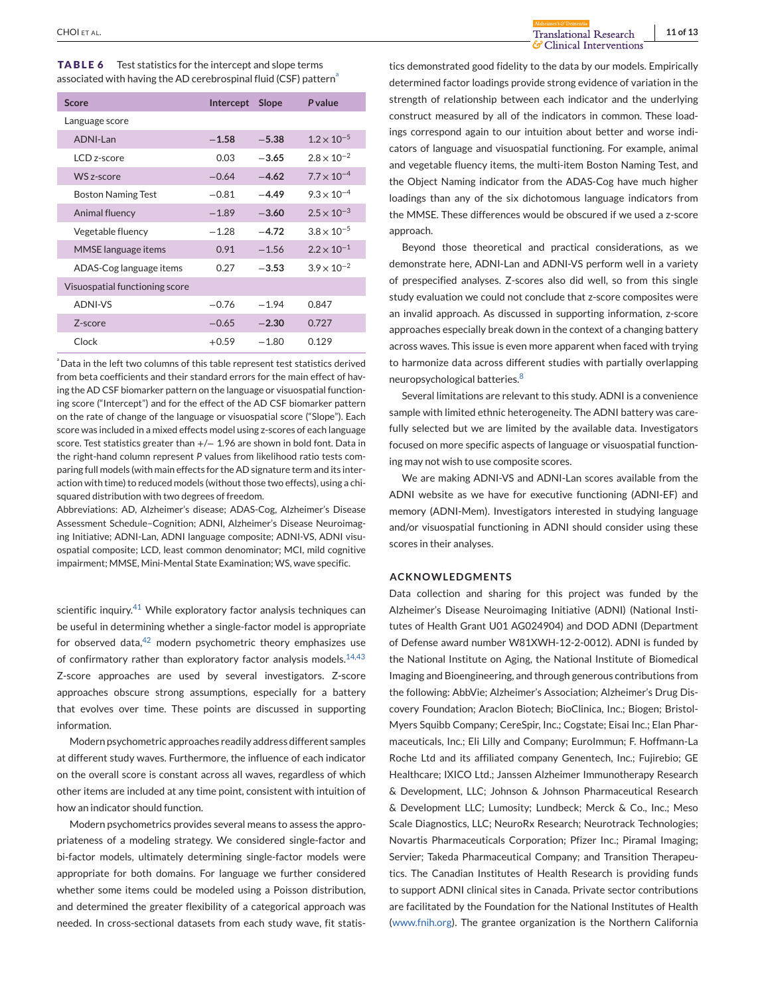<span id="page-10-0"></span>**CHOI** ET AL. **11 of 13 13 14 15 16 17 11 of 13** G Clinical Interventions

| <b>TABLE 6</b> | Test statistics for the intercept and slope terms                        |
|----------------|--------------------------------------------------------------------------|
|                | associated with having the AD cerebrospinal fluid (CSF) pattern $^\circ$ |

| Score                          | Intercept | Slope   | P value              |
|--------------------------------|-----------|---------|----------------------|
| Language score                 |           |         |                      |
| ADNI-Lan                       | $-1.58$   | $-5.38$ | $1.2 \times 10^{-5}$ |
| $ICD$ z-score                  | 0.03      | $-3.65$ | $2.8 \times 10^{-2}$ |
| WS z-score                     | $-0.64$   | $-4.62$ | $7.7 \times 10^{-4}$ |
| <b>Boston Naming Test</b>      | $-0.81$   | $-4.49$ | $9.3 \times 10^{-4}$ |
| Animal fluency                 | $-1.89$   | $-3.60$ | $2.5 \times 10^{-3}$ |
| Vegetable fluency              | $-1.28$   | $-4.72$ | $3.8 \times 10^{-5}$ |
| MMSE language items            | 0.91      | $-1.56$ | $2.2 \times 10^{-1}$ |
| ADAS-Cog language items        | 0.27      | $-3.53$ | $3.9 \times 10^{-2}$ |
| Visuospatial functioning score |           |         |                      |
| <b>ADNI-VS</b>                 | $-0.76$   | $-1.94$ | 0.847                |
| Z-score                        | $-0.65$   | $-2.30$ | 0.727                |
| Clock                          | $+0.59$   | $-1.80$ | 0.129                |

<sup>a</sup> Data in the left two columns of this table represent test statistics derived from beta coefficients and their standard errors for the main effect of having the AD CSF biomarker pattern on the language or visuospatial functioning score ("Intercept") and for the effect of the AD CSF biomarker pattern on the rate of change of the language or visuospatial score ("Slope"). Each score was included in a mixed effects model using z-scores of each language score. Test statistics greater than +/− 1.96 are shown in bold font. Data in the right-hand column represent *P* values from likelihood ratio tests comparing full models (with main effects for the AD signature term and its interaction with time) to reduced models (without those two effects), using a chisquared distribution with two degrees of freedom.

Abbreviations: AD, Alzheimer's disease; ADAS-Cog, Alzheimer's Disease Assessment Schedule–Cognition; ADNI, Alzheimer's Disease Neuroimaging Initiative; ADNI-Lan, ADNI language composite; ADNI-VS, ADNI visuospatial composite; LCD, least common denominator; MCI, mild cognitive impairment; MMSE, Mini-Mental State Examination; WS, wave specific.

scientific inquiry. $41$  While exploratory factor analysis techniques can be useful in determining whether a single-factor model is appropriate for observed data, $42$  modern psychometric theory emphasizes use of confirmatory rather than exploratory factor analysis models. $^{14,43}$  $^{14,43}$  $^{14,43}$ Z-score approaches are used by several investigators. Z-score approaches obscure strong assumptions, especially for a battery that evolves over time. These points are discussed in supporting information.

Modern psychometric approaches readily address different samples at different study waves. Furthermore, the influence of each indicator on the overall score is constant across all waves, regardless of which other items are included at any time point, consistent with intuition of how an indicator should function.

Modern psychometrics provides several means to assess the appropriateness of a modeling strategy. We considered single-factor and bi-factor models, ultimately determining single-factor models were appropriate for both domains. For language we further considered whether some items could be modeled using a Poisson distribution, and determined the greater flexibility of a categorical approach was needed. In cross-sectional datasets from each study wave, fit statistics demonstrated good fidelity to the data by our models. Empirically determined factor loadings provide strong evidence of variation in the strength of relationship between each indicator and the underlying construct measured by all of the indicators in common. These loadings correspond again to our intuition about better and worse indicators of language and visuospatial functioning. For example, animal and vegetable fluency items, the multi-item Boston Naming Test, and the Object Naming indicator from the ADAS-Cog have much higher loadings than any of the six dichotomous language indicators from the MMSE. These differences would be obscured if we used a z-score approach.

Beyond those theoretical and practical considerations, as we demonstrate here, ADNI-Lan and ADNI-VS perform well in a variety of prespecified analyses. Z-scores also did well, so from this single study evaluation we could not conclude that z-score composites were an invalid approach. As discussed in supporting information, z-score approaches especially break down in the context of a changing battery across waves. This issue is even more apparent when faced with trying to harmonize data across different studies with partially overlapping neuropsychological batteries.[8](#page-11-0)

Several limitations are relevant to this study. ADNI is a convenience sample with limited ethnic heterogeneity. The ADNI battery was carefully selected but we are limited by the available data. Investigators focused on more specific aspects of language or visuospatial functioning may not wish to use composite scores.

We are making ADNI-VS and ADNI-Lan scores available from the ADNI website as we have for executive functioning (ADNI-EF) and memory (ADNI-Mem). Investigators interested in studying language and/or visuospatial functioning in ADNI should consider using these scores in their analyses.

#### **ACKNOWLEDGMENTS**

Data collection and sharing for this project was funded by the Alzheimer's Disease Neuroimaging Initiative (ADNI) (National Institutes of Health Grant U01 AG024904) and DOD ADNI (Department of Defense award number W81XWH-12-2-0012). ADNI is funded by the National Institute on Aging, the National Institute of Biomedical Imaging and Bioengineering, and through generous contributions from the following: AbbVie; Alzheimer's Association; Alzheimer's Drug Discovery Foundation; Araclon Biotech; BioClinica, Inc.; Biogen; Bristol-Myers Squibb Company; CereSpir, Inc.; Cogstate; Eisai Inc.; Elan Pharmaceuticals, Inc.; Eli Lilly and Company; EuroImmun; F. Hoffmann-La Roche Ltd and its affiliated company Genentech, Inc.; Fujirebio; GE Healthcare; IXICO Ltd.; Janssen Alzheimer Immunotherapy Research & Development, LLC; Johnson & Johnson Pharmaceutical Research & Development LLC; Lumosity; Lundbeck; Merck & Co., Inc.; Meso Scale Diagnostics, LLC; NeuroRx Research; Neurotrack Technologies; Novartis Pharmaceuticals Corporation; Pfizer Inc.; Piramal Imaging; Servier; Takeda Pharmaceutical Company; and Transition Therapeutics. The Canadian Institutes of Health Research is providing funds to support ADNI clinical sites in Canada. Private sector contributions are facilitated by the Foundation for the National Institutes of Health [\(www.fnih.org\)](http://www.fnih.org). The grantee organization is the Northern California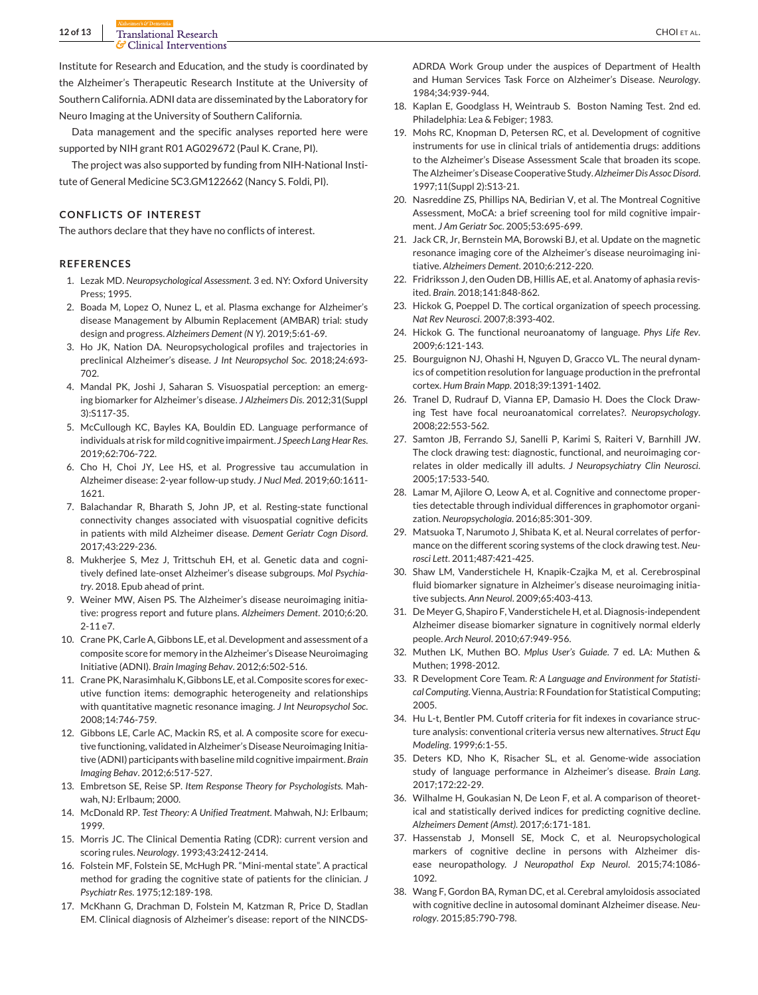<span id="page-11-0"></span>**12 of 13** Translational Research **CHOI** ET AL. G Clinical Interventions

Institute for Research and Education, and the study is coordinated by the Alzheimer's Therapeutic Research Institute at the University of Southern California. ADNI data are disseminated by the Laboratory for Neuro Imaging at the University of Southern California.

Data management and the specific analyses reported here were supported by NIH grant R01 AG029672 (Paul K. Crane, PI).

The project was also supported by funding from NIH-National Institute of General Medicine SC3.GM122662 (Nancy S. Foldi, PI).

#### **CONFLICTS OF INTEREST**

The authors declare that they have no conflicts of interest.

#### **REFERENCES**

- 1. Lezak MD. *Neuropsychological Assessment*. 3 ed. NY: Oxford University Press; 1995.
- 2. Boada M, Lopez O, Nunez L, et al. Plasma exchange for Alzheimer's disease Management by Albumin Replacement (AMBAR) trial: study design and progress. *Alzheimers Dement (N Y)*. 2019;5:61-69.
- 3. Ho JK, Nation DA. Neuropsychological profiles and trajectories in preclinical Alzheimer's disease. *J Int Neuropsychol Soc*. 2018;24:693- 702.
- 4. Mandal PK, Joshi J, Saharan S. Visuospatial perception: an emerging biomarker for Alzheimer's disease. *J Alzheimers Dis*. 2012;31(Suppl 3):S117-35.
- 5. McCullough KC, Bayles KA, Bouldin ED. Language performance of individuals at risk for mild cognitive impairment. *J Speech Lang Hear Res*. 2019;62:706-722.
- 6. Cho H, Choi JY, Lee HS, et al. Progressive tau accumulation in Alzheimer disease: 2-year follow-up study. *J Nucl Med*. 2019;60:1611- 1621.
- 7. Balachandar R, Bharath S, John JP, et al. Resting-state functional connectivity changes associated with visuospatial cognitive deficits in patients with mild Alzheimer disease. *Dement Geriatr Cogn Disord*. 2017;43:229-236.
- 8. Mukherjee S, Mez J, Trittschuh EH, et al. Genetic data and cognitively defined late-onset Alzheimer's disease subgroups. *Mol Psychiatry*. 2018. Epub ahead of print.
- 9. Weiner MW, Aisen PS. The Alzheimer's disease neuroimaging initiative: progress report and future plans. *Alzheimers Dement*. 2010;6:20. 2-11 e7.
- 10. Crane PK, Carle A, Gibbons LE, et al. Development and assessment of a composite score for memory in the Alzheimer's Disease Neuroimaging Initiative (ADNI). *Brain Imaging Behav*. 2012;6:502-516.
- 11. Crane PK, Narasimhalu K, Gibbons LE, et al. Composite scores for executive function items: demographic heterogeneity and relationships with quantitative magnetic resonance imaging. *J Int Neuropsychol Soc*. 2008;14:746-759.
- 12. Gibbons LE, Carle AC, Mackin RS, et al. A composite score for executive functioning, validated in Alzheimer's Disease Neuroimaging Initiative (ADNI) participants with baseline mild cognitive impairment. *Brain Imaging Behav*. 2012;6:517-527.
- 13. Embretson SE, Reise SP. *Item Response Theory for Psychologists*. Mahwah, NJ: Erlbaum; 2000.
- 14. McDonald RP. *Test Theory: A Unified Treatment*. Mahwah, NJ: Erlbaum; 1999.
- 15. Morris JC. The Clinical Dementia Rating (CDR): current version and scoring rules. *Neurology*. 1993;43:2412-2414.
- 16. Folstein MF, Folstein SE, McHugh PR. "Mini-mental state". A practical method for grading the cognitive state of patients for the clinician. *J Psychiatr Res*. 1975;12:189-198.
- 17. McKhann G, Drachman D, Folstein M, Katzman R, Price D, Stadlan EM. Clinical diagnosis of Alzheimer's disease: report of the NINCDS-

ADRDA Work Group under the auspices of Department of Health and Human Services Task Force on Alzheimer's Disease. *Neurology*. 1984;34:939-944.

- 18. Kaplan E, Goodglass H, Weintraub S. Boston Naming Test. 2nd ed. Philadelphia: Lea & Febiger; 1983.
- 19. Mohs RC, Knopman D, Petersen RC, et al. Development of cognitive instruments for use in clinical trials of antidementia drugs: additions to the Alzheimer's Disease Assessment Scale that broaden its scope. The Alzheimer's Disease Cooperative Study.*Alzheimer Dis Assoc Disord*. 1997;11(Suppl 2):S13-21.
- 20. Nasreddine ZS, Phillips NA, Bedirian V, et al. The Montreal Cognitive Assessment, MoCA: a brief screening tool for mild cognitive impairment. *J Am Geriatr Soc*. 2005;53:695-699.
- 21. Jack CR, Jr, Bernstein MA, Borowski BJ, et al. Update on the magnetic resonance imaging core of the Alzheimer's disease neuroimaging initiative. *Alzheimers Dement*. 2010;6:212-220.
- 22. Fridriksson J, den Ouden DB, Hillis AE, et al. Anatomy of aphasia revisited. *Brain*. 2018;141:848-862.
- 23. Hickok G, Poeppel D. The cortical organization of speech processing. *Nat Rev Neurosci*. 2007;8:393-402.
- 24. Hickok G. The functional neuroanatomy of language. *Phys Life Rev*. 2009;6:121-143.
- 25. Bourguignon NJ, Ohashi H, Nguyen D, Gracco VL. The neural dynamics of competition resolution for language production in the prefrontal cortex. *Hum Brain Mapp*. 2018;39:1391-1402.
- 26. Tranel D, Rudrauf D, Vianna EP, Damasio H. Does the Clock Drawing Test have focal neuroanatomical correlates?. *Neuropsychology*. 2008;22:553-562.
- 27. Samton JB, Ferrando SJ, Sanelli P, Karimi S, Raiteri V, Barnhill JW. The clock drawing test: diagnostic, functional, and neuroimaging correlates in older medically ill adults. *J Neuropsychiatry Clin Neurosci*. 2005;17:533-540.
- 28. Lamar M, Ajilore O, Leow A, et al. Cognitive and connectome properties detectable through individual differences in graphomotor organization. *Neuropsychologia*. 2016;85:301-309.
- 29. Matsuoka T, Narumoto J, Shibata K, et al. Neural correlates of performance on the different scoring systems of the clock drawing test. *Neurosci Lett*. 2011;487:421-425.
- 30. Shaw LM, Vanderstichele H, Knapik-Czajka M, et al. Cerebrospinal fluid biomarker signature in Alzheimer's disease neuroimaging initiative subjects. *Ann Neurol*. 2009;65:403-413.
- 31. De Meyer G, Shapiro F, Vanderstichele H, et al. Diagnosis-independent Alzheimer disease biomarker signature in cognitively normal elderly people. *Arch Neurol*. 2010;67:949-956.
- 32. Muthen LK, Muthen BO. *Mplus User's Guiade*. 7 ed. LA: Muthen & Muthen; 1998-2012.
- 33. R Development Core Team. *R: A Language and Environment for Statistical Computing*. Vienna, Austria: R Foundation for Statistical Computing; 2005.
- 34. Hu L-t, Bentler PM. Cutoff criteria for fit indexes in covariance structure analysis: conventional criteria versus new alternatives. *Struct Equ Modeling*. 1999;6:1-55.
- 35. Deters KD, Nho K, Risacher SL, et al. Genome-wide association study of language performance in Alzheimer's disease. *Brain Lang*. 2017;172:22-29.
- 36. Wilhalme H, Goukasian N, De Leon F, et al. A comparison of theoretical and statistically derived indices for predicting cognitive decline. *Alzheimers Dement (Amst)*. 2017;6:171-181.
- 37. Hassenstab J, Monsell SE, Mock C, et al. Neuropsychological markers of cognitive decline in persons with Alzheimer disease neuropathology. *J Neuropathol Exp Neurol*. 2015;74:1086- 1092.
- 38. Wang F, Gordon BA, Ryman DC, et al. Cerebral amyloidosis associated with cognitive decline in autosomal dominant Alzheimer disease. *Neurology*. 2015;85:790-798.